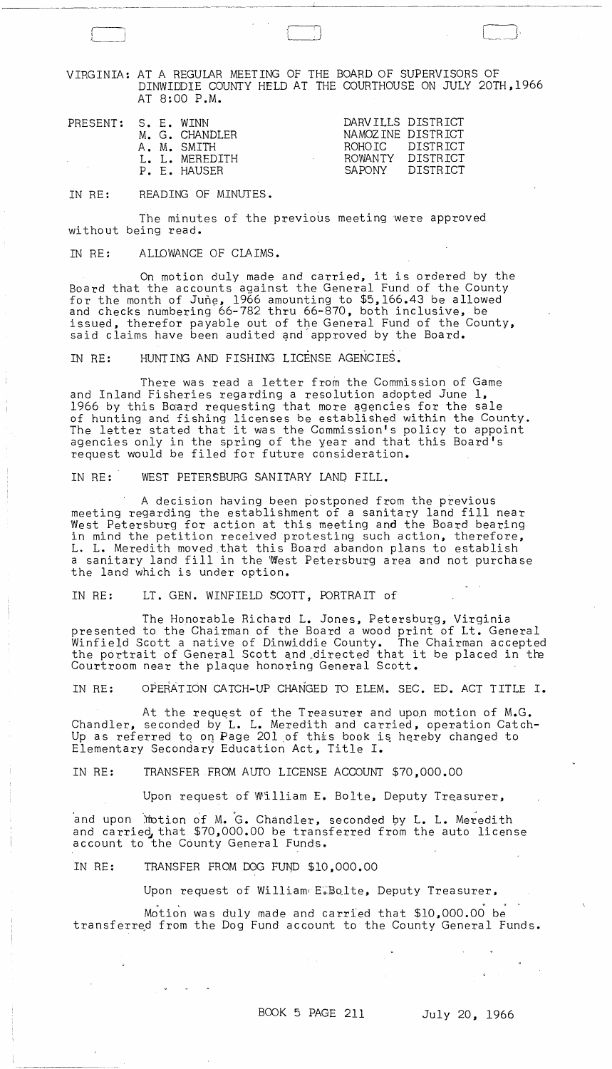VIRGINIA: AT A REGULAR MEETING OF THE BOARD OF SUPERVISORS OF DINWIDDIE COUNTY HELD AT THE COURTHOUSE ON JULY 20TH,1966 AT 8:00 P.M.

| A. M. SMITH<br>L. L. MEREDITH<br>P. E. HAUSER |  | NAMOZINE DISTRICT<br>ROHOIC DISTRICT<br>ROWANTY DISTRICT<br>SAPONY DISTRICT |
|-----------------------------------------------|--|-----------------------------------------------------------------------------|
|-----------------------------------------------|--|-----------------------------------------------------------------------------|

IN RE: READING OF MINUTES.

 $\Box$ 

 $\sqrt{2}$ j !

The minutes of the previous meeting were approved without being read.

IN RE: ALLOWANCE OF CLAIMS.

On motion duly made and carried, it is ordered by the Board that the accounts against the General Fund of the County for the month of June, 1966 amounting to  $$5,166.43$  be allowed and checks numbering 66-782 thru 66-870, both inclusive, be issued, therefor payable out of the General Fund of the County, issued, thereror payable out of the General rund of the G<br>said claims have been audited and approved by the Board.<br>IN RE: HUNTING AND FISHING LICENSE AGENCIES.

There was read a letter from the Commission of Game and Inland Fisheries regarding a resolution adopted June 1, 1966 by this Board requesting that more agencies for the sale of hunting and fishing licenses be established within the County. The letter stated that it was the Commission's policy to appoint agencies only in the spring of the year and that this Board's request would be filed for future consideration.

IN RE: WEST PETERSBURG SANITARY LAND FILL.

A decision having been postponed from the previous meeting regarding the establishment of a sanitary land fill near West Petersburg for action at this meeting and the Board bearing in mind the petition received protesting such action, therefore, L. L. Meredith moved\_that this Board abandon plans to establish a sanitary land fill in the West Petersburg area and not purchase the land which is under option.

IN RE: LT. GEN. WINFIELD SCOTT, PORTRAIT of

The Honorable Richard L. Jones, Petersburg, Virginia presented to the Chairman of the Board a wood print of Lt. General Winfield Scott a native of Dinwiddie County. The Chairman accepted the portrait of General Scott and directed that it be placed in the Courtroom near the plaque honoring General Scott.

IN RE: OPERATION CATCH-UP CHANGED TO ELEM. SEC. ED. ACT TITLE I.

At the request of the Treasurer and upon motion of M.G. Chandler, seconded by L. L. Meredith and carried, operation Catch-Up as referred to on Page 201 of this book is hereby changed to Elementary Secondary Education Act, Title I.

IN RE: TRANSFER FROM AUTO LICENSE ACCOUNT \$70,000.00

Upon request of William E. Bolte, Deputy Treasurer, Upon request of William E. Bolte, Deputy Treasu<br>Motion of M. G. Chandler. seconded by L. L. Mer

and upon Motion of M. G. Chandler, seconded by L. L. Meredith and carried, that \$70,000.00 be transferred from the auto license account to the County General Funds.

IN RE: TRANSFER FROM DOG FUND \$10,000.00

 $\langle \hat{\phi} \rangle$  .

Upon request of William,E;SQlte, Deputy Treasurer,

Motion was duly made and carried that \$10,000.00 be transferred from the Dog Fund account to the County General Funds.